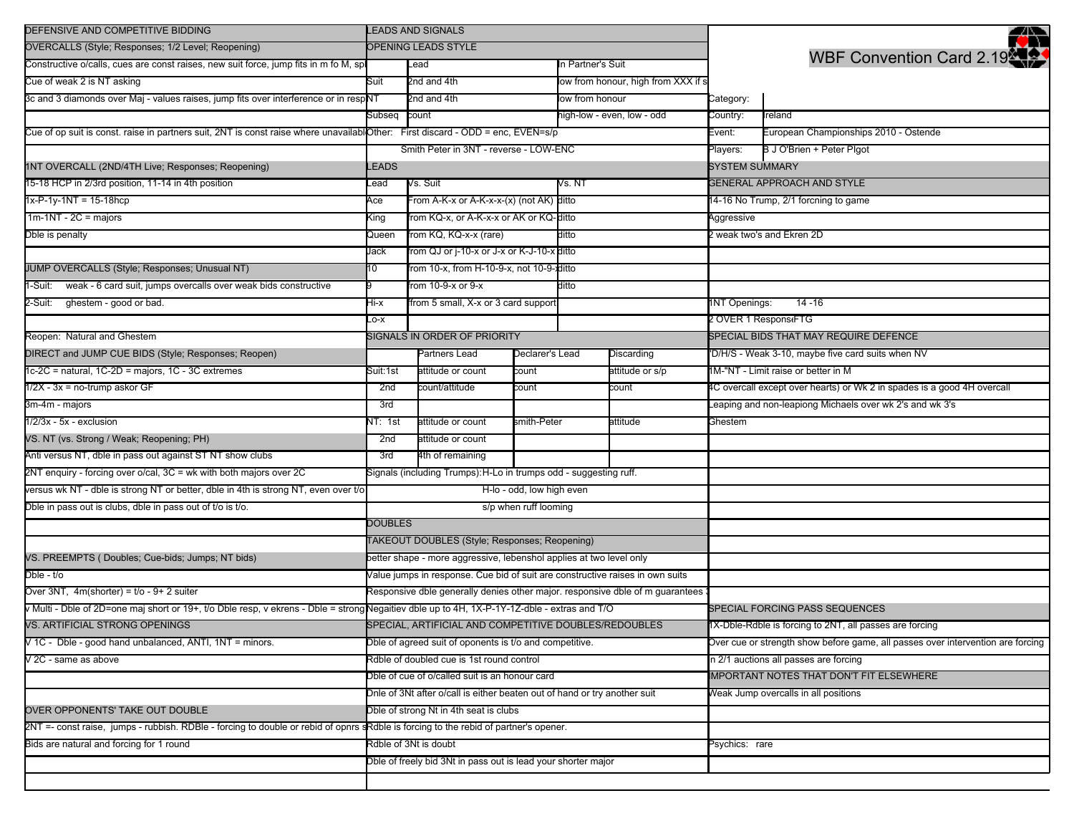| DEFENSIVE AND COMPETITIVE BIDDING                                                                                                            | <b>LEADS AND SIGNALS</b>                                                      |                                                         |                       |                            |                                     |                                                                         | ₩                                                                               |  |
|----------------------------------------------------------------------------------------------------------------------------------------------|-------------------------------------------------------------------------------|---------------------------------------------------------|-----------------------|----------------------------|-------------------------------------|-------------------------------------------------------------------------|---------------------------------------------------------------------------------|--|
| OVERCALLS (Style; Responses; 1/2 Level; Reopening)                                                                                           | OPENING LEADS STYLE                                                           |                                                         |                       |                            |                                     |                                                                         |                                                                                 |  |
| Constructive o/calls, cues are const raises, new suit force, jump fits in m fo M, sp                                                         |                                                                               | In Partner's Suit<br>Lead                               |                       |                            |                                     |                                                                         | <b>WBF Convention Card 2.19</b>                                                 |  |
| Cue of weak 2 is NT asking                                                                                                                   | Suit                                                                          | 2nd and 4th                                             |                       |                            | low from honour, high from XXX if s |                                                                         |                                                                                 |  |
| 3c and 3 diamonds over Maj - values raises, jump fits over interference or in respNT                                                         |                                                                               | 2nd and 4th                                             |                       | low from honour            |                                     | Category:                                                               |                                                                                 |  |
|                                                                                                                                              | Subseq                                                                        | count                                                   |                       | high-low - even, low - odd |                                     | Country:                                                                | reland                                                                          |  |
| Cue of op suit is const. raise in partners suit, 2NT is const raise where unavailablOther: First discard - ODD = enc, EVEN=s/p               |                                                                               |                                                         |                       |                            |                                     |                                                                         | European Championships 2010 - Ostende                                           |  |
|                                                                                                                                              | Smith Peter in 3NT - reverse - LOW-ENC                                        |                                                         |                       |                            |                                     |                                                                         | B J O'Brien + Peter Plgot                                                       |  |
| 1NT OVERCALL (2ND/4TH Live; Responses; Reopening)                                                                                            | EADS                                                                          |                                                         |                       |                            |                                     |                                                                         | <b>SYSTEM SUMMARY</b>                                                           |  |
| 15-18 HCP in 2/3rd position, 11-14 in 4th position                                                                                           | .ead                                                                          | Vs. Suit                                                |                       |                            | Vs. NT                              |                                                                         | <b>GENERAL APPROACH AND STYLE</b>                                               |  |
| $1x-P-1y-1NT = 15-18hcp$                                                                                                                     | Ace                                                                           | From A-K-x or A-K-x-x-(x) (not AK) ditto                |                       |                            |                                     | 14-16 No Trump, 2/1 forcning to game                                    |                                                                                 |  |
| $1m-1NT - 2C = majors$                                                                                                                       | King                                                                          | rom KQ-x, or A-K-x-x or AK or KQ-ditto                  |                       |                            |                                     | Aggressive                                                              |                                                                                 |  |
| Dble is penalty                                                                                                                              | Queen                                                                         | rom KQ, KQ-x-x (rare)<br>ditto                          |                       |                            | weak two's and Ekren 2D             |                                                                         |                                                                                 |  |
|                                                                                                                                              | Jack                                                                          | rom QJ or j-10-x or J-x or K-J-10-x ditto               |                       |                            |                                     |                                                                         |                                                                                 |  |
| JUMP OVERCALLS (Style; Responses; Unusual NT)                                                                                                | 10                                                                            | rom 10-x, from H-10-9-x, not 10-9-xditto                |                       |                            |                                     |                                                                         |                                                                                 |  |
| -Suit: weak - 6 card suit, jumps overcalls over weak bids constructive                                                                       |                                                                               | rom 10-9-x or 9-x                                       |                       | ditto                      |                                     |                                                                         |                                                                                 |  |
| 2-Suit: ghestem - good or bad.                                                                                                               | Hi-x                                                                          | from 5 small, X-x or 3 card support                     |                       |                            |                                     | <b>INT Openings:</b>                                                    | $14 - 16$                                                                       |  |
|                                                                                                                                              | $-0-X$                                                                        |                                                         |                       |                            |                                     | 2 OVER 1 Respons FTG                                                    |                                                                                 |  |
| Reopen: Natural and Ghestem                                                                                                                  |                                                                               | SIGNALS IN ORDER OF PRIORITY                            |                       |                            |                                     |                                                                         | SPECIAL BIDS THAT MAY REQUIRE DEFENCE                                           |  |
| DIRECT and JUMP CUE BIDS (Style; Responses; Reopen)                                                                                          |                                                                               | Partners Lead                                           | Declarer's Lead       |                            | Discarding                          |                                                                         | 'D/H/S - Weak 3-10, maybe five card suits when NV                               |  |
| 1c-2C = natural, 1C-2D = majors, 1C - 3C extremes                                                                                            | Suit:1st                                                                      | attitude or count                                       | count                 |                            | attitude or s/p                     | 1M-"NT - Limit raise or better in M                                     |                                                                                 |  |
| $1/2X - 3x =$ no-trump askor GF                                                                                                              | 2nd                                                                           | count/attitude<br>count                                 |                       |                            | count                               | 4C overcall except over hearts) or Wk 2 in spades is a good 4H overcall |                                                                                 |  |
| 3m-4m - majors                                                                                                                               | 3rd                                                                           |                                                         |                       |                            |                                     |                                                                         | eaping and non-leapiong Michaels over wk 2's and wk 3's                         |  |
| $1/2/3x - 5x -$ exclusion                                                                                                                    | NT: 1st                                                                       | smith-Peter<br>attitude or count                        |                       | attitude                   |                                     | Ghestem                                                                 |                                                                                 |  |
| VS. NT (vs. Strong / Weak; Reopening; PH)                                                                                                    | 2nd                                                                           | attitude or count                                       |                       |                            |                                     |                                                                         |                                                                                 |  |
| Anti versus NT, dble in pass out against ST NT show clubs                                                                                    | 3rd                                                                           | 4th of remaining                                        |                       |                            |                                     |                                                                         |                                                                                 |  |
| 2NT enquiry - forcing over o/cal, 3C = wk with both majors over 2C                                                                           | Signals (including Trumps): H-Lo in trumps odd - suggesting ruff.             |                                                         |                       |                            |                                     |                                                                         |                                                                                 |  |
| versus wk NT - dble is strong NT or better, dble in 4th is strong NT, even over t/o                                                          | H-lo - odd, low high even                                                     |                                                         |                       |                            |                                     |                                                                         |                                                                                 |  |
| Dble in pass out is clubs, dble in pass out of t/o is t/o.                                                                                   |                                                                               |                                                         | s/p when ruff looming |                            |                                     |                                                                         |                                                                                 |  |
|                                                                                                                                              | <b>DOUBLES</b>                                                                |                                                         |                       |                            |                                     |                                                                         |                                                                                 |  |
|                                                                                                                                              | TAKEOUT DOUBLES (Style; Responses; Reopening)                                 |                                                         |                       |                            |                                     |                                                                         |                                                                                 |  |
| VS. PREEMPTS (Doubles; Cue-bids; Jumps; NT bids)                                                                                             | better shape - more aggressive, lebenshol applies at two level only           |                                                         |                       |                            |                                     |                                                                         |                                                                                 |  |
| Dble - t/o                                                                                                                                   | Value jumps in response. Cue bid of suit are constructive raises in own suits |                                                         |                       |                            |                                     |                                                                         |                                                                                 |  |
| Over $3NT$ , $4m(shorter) = t/o - 9 + 2 suiter$                                                                                              | Responsive dble generally denies other major. responsive dble of m guarantees |                                                         |                       |                            |                                     |                                                                         |                                                                                 |  |
| v Multi - Dble of 2D=one maj short or 19+, t/o Dble resp, v ekrens - Dble = strong Negaitiev dble up to 4H, 1X-P-1Y-1Z-dble - extras and T/O |                                                                               |                                                         |                       |                            |                                     |                                                                         | SPECIAL FORCING PASS SEQUENCES                                                  |  |
| VS. ARTIFICIAL STRONG OPENINGS                                                                                                               | SPECIAL, ARTIFICIAL AND COMPETITIVE DOUBLES/REDOUBLES                         |                                                         |                       |                            |                                     |                                                                         | 1X-Dble-Rdble is forcing to 2NT, all passes are forcing                         |  |
| V 1C - Dble - good hand unbalanced, ANTI, 1NT = minors.                                                                                      |                                                                               | Dble of agreed suit of oponents is t/o and competitive. |                       |                            |                                     |                                                                         | Over cue or strength show before game, all passes over intervention are forcing |  |
| V 2C - same as above                                                                                                                         | Rdble of doubled cue is 1st round control                                     |                                                         |                       |                            |                                     |                                                                         | in 2/1 auctions all passes are forcing                                          |  |
|                                                                                                                                              | Dble of cue of o/called suit is an honour card                                |                                                         |                       |                            |                                     | <b>IMPORTANT NOTES THAT DON'T FIT ELSEWHERE</b>                         |                                                                                 |  |
|                                                                                                                                              | Dnle of 3Nt after o/call is either beaten out of hand or try another suit     |                                                         |                       |                            |                                     |                                                                         | Weak Jump overcalls in all positions                                            |  |
| OVER OPPONENTS' TAKE OUT DOUBLE                                                                                                              |                                                                               | Dble of strong Nt in 4th seat is clubs                  |                       |                            |                                     |                                                                         |                                                                                 |  |
| 2NT =- const raise, jumps - rubbish. RDBle - forcing to double or rebid of opnrs                                                             | sRdble is forcing to the rebid of partner's opener.                           |                                                         |                       |                            |                                     |                                                                         |                                                                                 |  |
| Bids are natural and forcing for 1 round                                                                                                     | Rdble of 3Nt is doubt                                                         |                                                         |                       |                            |                                     | Psychics: rare                                                          |                                                                                 |  |
|                                                                                                                                              | Dble of freely bid 3Nt in pass out is lead your shorter major                 |                                                         |                       |                            |                                     |                                                                         |                                                                                 |  |
|                                                                                                                                              |                                                                               |                                                         |                       |                            |                                     |                                                                         |                                                                                 |  |